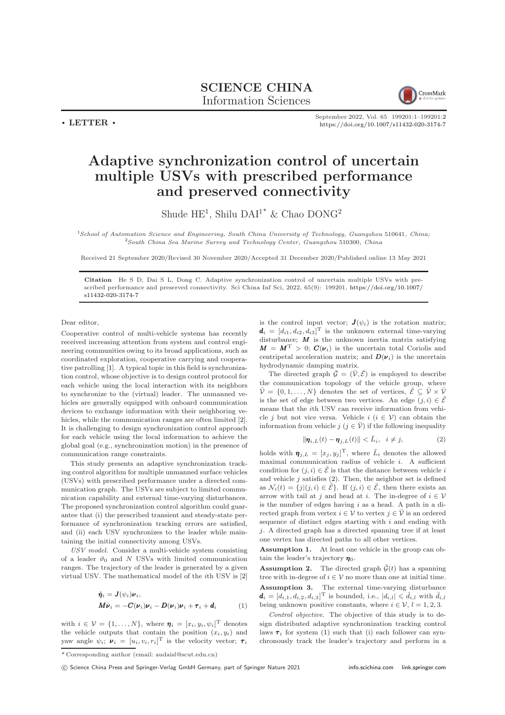SCIENCE CHINA Information Sciences



 $\cdot$  LETTER  $\cdot$ 

September 2022, Vol. 65 199201:1–199201[:2](#page-1-0) <https://doi.org/10.1007/s11432-020-3174-7>

## Adaptive synchronization control of uncertain multiple USVs with prescribed performance and preserved connectivity

Shude  $\mathrm{HE}^1$ , Shilu  $\mathrm{DAI}^{1^*}$  & Chao  $\mathrm{DONG^2}$ 

<sup>1</sup>School of Automation Science and Engineering, South China University of Technology, Guangzhou 510641, China; <sup>2</sup>South China Sea Marine Survey and Technology Center, Guangzhou 510300, China

Received 21 September 2020/Revised 30 November 2020/Accepted 31 December 2020/Published online 13 May 2021

Citation He S D, Dai S L, Dong C. Adaptive synchronization control of uncertain multiple USVs with prescribed performance and preserved connectivity. Sci China Inf Sci, 2022, 65(9): 199201, [https://doi.org/10.1007/](https://doi.org/10.1007/s11432-020-3174-7) [s11432-020-3174-7](https://doi.org/10.1007/s11432-020-3174-7)

Dear editor,

Cooperative control of multi-vehicle systems has recently received increasing attention from system and control engineering communities owing to its broad applications, such as coordinated exploration, cooperative carrying and cooperative patrolling [\[1\]](#page-1-1). A typical topic in this field is synchronization control, whose objective is to design control protocol for each vehicle using the local interaction with its neighbors to synchronize to the (virtual) leader. The unmanned vehicles are generally equipped with onboard communication devices to exchange information with their neighboring vehicles, while the communication ranges are often limited [\[2\]](#page-1-2). It is challenging to design synchronization control approach for each vehicle using the local information to achieve the global goal (e.g., synchronization motion) in the presence of communication range constraints.

This study presents an adaptive synchronization tracking control algorithm for multiple unmanned surface vehicles (USVs) with prescribed performance under a directed communication graph. The USVs are subject to limited communication capability and external time-varying disturbances. The proposed synchronization control algorithm could guarantee that (i) the prescribed transient and steady-state performance of synchronization tracking errors are satisfied, and (ii) each USV synchronizes to the leader while maintaining the initial connectivity among USVs.

USV model. Consider a multi-vehicle system consisting of a leader  $\vartheta_0$  and N USVs with limited communication ranges. The trajectory of the leader is generated by a given virtual USV. The mathematical model of the ith USV is [\[2\]](#page-1-2)

<span id="page-0-1"></span>
$$
\dot{\eta}_i = J(\psi_i)\nu_i,
$$
  
\n
$$
M\dot{\nu}_i = -C(\nu_i)\nu_i - D(\nu_i)\nu_i + \tau_i + d_i
$$
\n(1)

with  $i \in \mathcal{V} = \{1, ..., N\}$ , where  $\boldsymbol{\eta}_i = [x_i, y_i, \psi_i]^{\text{T}}$  denotes the vehicle outputs that contain the position  $(x_i, y_i)$  and yaw angle  $\psi_i$ ;  $\boldsymbol{\nu}_i = [u_i, v_i, r_i]^{\text{T}}$  is the velocity vector;  $\boldsymbol{\tau}_i$  is the control input vector;  $\mathbf{J}(\psi_i)$  is the rotation matrix;  $\mathbf{d}_i = [d_{i1}, d_{i2}, d_{i3}]^{\mathrm{T}}$  is the unknown external time-varying disturbance;  $M$  is the unknown inertia matrix satisfying  $M = M<sup>T</sup> > 0$ ;  $C(\nu_i)$  is the uncertain total Coriolis and centripetal acceleration matrix; and  $\mathbf{D}(\mathbf{\nu}_i)$  is the uncertain hydrodynamic damping matrix.

The directed graph  $\bar{\mathcal{G}} = (\bar{\mathcal{V}}, \bar{\mathcal{E}})$  is employed to describe the communication topology of the vehicle group, where  $\bar{\mathcal{V}} = \{0, 1, \ldots, N\}$  denotes the set of vertices,  $\bar{\mathcal{E}} \subseteq \bar{\mathcal{V}} \times \bar{\mathcal{V}}$ is the set of edge between two vertices. An edge  $(j, i) \in \overline{E}$ means that the ith USV can receive information from vehicle j but not vice versa. Vehicle  $i$   $(i \in V)$  can obtain the information from vehicle  $j$   $(j \in \overline{\mathcal{V}})$  if the following inequality

<span id="page-0-0"></span>
$$
\|\boldsymbol{\eta}_{i,L}(t) - \boldsymbol{\eta}_{j,L}(t)\| < \bar{L}_i, \quad i \neq j,\tag{2}
$$

holds with  $\mathbf{\eta}_{j,L} = [x_j, y_j]^{\mathrm{T}}$ , where  $\bar{L}_i$  denotes the allowed maximal communication radius of vehicle  $i$ . A sufficient condition for  $(j, i) \in \overline{E}$  is that the distance between vehicle i and vehicle  $j$  satisfies  $(2)$ . Then, the neighbor set is defined as  $\mathcal{N}_i(t) = \{j | (j, i) \in \overline{\mathcal{E}}\}$ . If  $(j, i) \in \overline{\mathcal{E}}$ , then there exists an arrow with tail at j and head at i. The in-degree of  $i \in \mathcal{V}$ is the number of edges having  $i$  as a head. A path in a directed graph from vertex  $i \in \mathcal{V}$  to vertex  $j \in \overline{\mathcal{V}}$  is an ordered sequence of distinct edges starting with  $i$  and ending with j. A directed graph has a directed spanning tree if at least one vertex has directed paths to all other vertices.

<span id="page-0-3"></span>Assumption 1. At least one vehicle in the group can obtain the leader's trajectory  $\eta_0$ .

<span id="page-0-4"></span><span id="page-0-2"></span>**Assumption 2.** The directed graph  $\bar{\mathcal{G}}(t)$  has a spanning tree with in-degree of  $i \in V$  no more than one at initial time. Assumption 3. The external time-varying disturbance  $\mathbf{d}_i = [d_{i,1}, d_{i,2}, d_{i,3}]^{\mathrm{T}}$  is bounded, i.e.,  $|d_{i,l}| \leqslant \bar{d}_{i,l}$  with  $\bar{d}_{i,l}$ being unknown positive constants, where  $i \in \mathcal{V}$ ,  $l = 1, 2, 3$ .

Control objective. The objective of this study is to design distributed adaptive synchronization tracking control laws  $\tau_i$  for system [\(1\)](#page-0-1) such that (i) each follower can synchronously track the leader's trajectory and perform in a

c Science China Press and Springer-Verlag GmbH Germany, part of Springer Nature 2021 <info.scichina.com><link.springer.com>

<sup>\*</sup> Corresponding author (email: audaisl@scut.edu.cn)